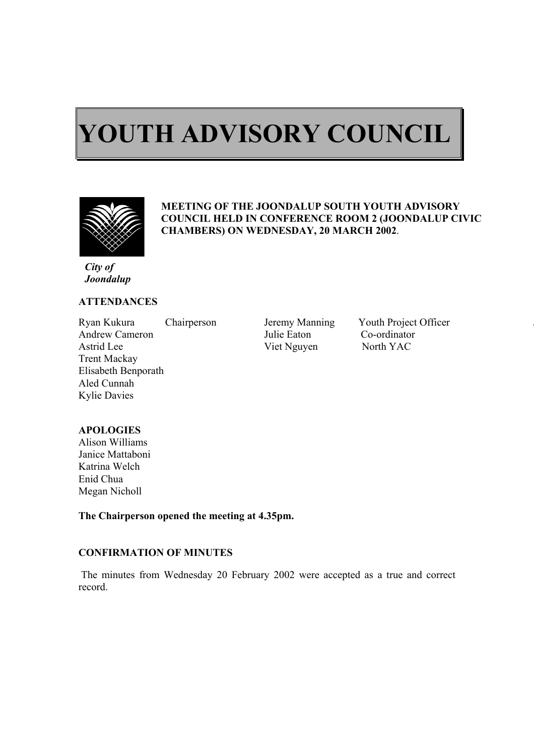# $\overline{a}$ **YOUTH ADVISORY COUNCIL**



ı

## **MEETING OF THE JOONDALUP SOUTH YOUTH ADVISORY COUNCIL HELD IN CONFERENCE ROOM 2 (JOONDALUP CIVIC CHAMBERS) ON WEDNESDAY, 20 MARCH 2002**.

*City of Joondalup* 

## **ATTENDANCES**

Ryan Kukura Chairperson Jeremy Manning Youth Project Officer Andrew Cameron Julie Eaton Co-ordinator Astrid Lee Viet Nguyen North YAC Trent Mackay Elisabeth Benporath Aled Cunnah Kylie Davies

# **APOLOGIES**

Alison Williams Janice Mattaboni Katrina Welch Enid Chua Megan Nicholl

**The Chairperson opened the meeting at 4.35pm.** 

#### **CONFIRMATION OF MINUTES**

 The minutes from Wednesday 20 February 2002 were accepted as a true and correct record.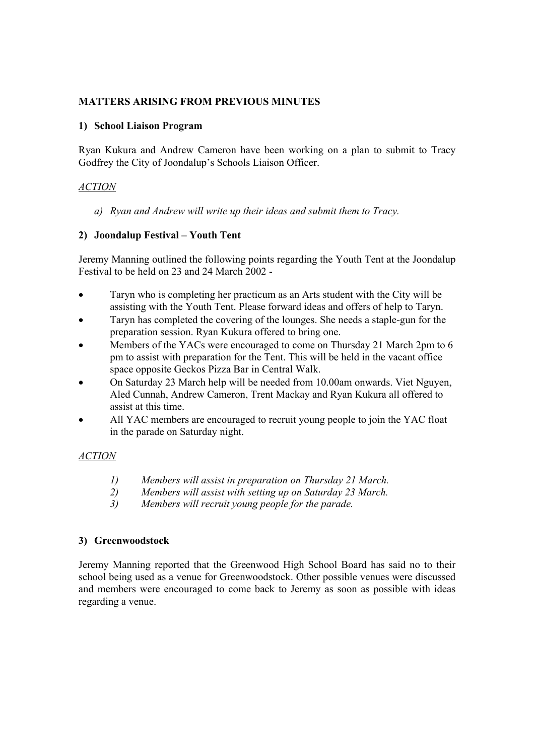# **MATTERS ARISING FROM PREVIOUS MINUTES**

#### **1) School Liaison Program**

Ryan Kukura and Andrew Cameron have been working on a plan to submit to Tracy Godfrey the City of Joondalup's Schools Liaison Officer.

# *ACTION*

*a) Ryan and Andrew will write up their ideas and submit them to Tracy.* 

# **2) Joondalup Festival – Youth Tent**

Jeremy Manning outlined the following points regarding the Youth Tent at the Joondalup Festival to be held on 23 and 24 March 2002 -

- Taryn who is completing her practicum as an Arts student with the City will be assisting with the Youth Tent. Please forward ideas and offers of help to Taryn.
- Taryn has completed the covering of the lounges. She needs a staple-gun for the preparation session. Ryan Kukura offered to bring one.
- Members of the YACs were encouraged to come on Thursday 21 March 2pm to 6 pm to assist with preparation for the Tent. This will be held in the vacant office space opposite Geckos Pizza Bar in Central Walk.
- On Saturday 23 March help will be needed from 10.00am onwards. Viet Nguyen, Aled Cunnah, Andrew Cameron, Trent Mackay and Ryan Kukura all offered to assist at this time.
- All YAC members are encouraged to recruit young people to join the YAC float in the parade on Saturday night.

# *ACTION*

- *1) Members will assist in preparation on Thursday 21 March.*
- *2) Members will assist with setting up on Saturday 23 March.*
- *3) Members will recruit young people for the parade.*

## **3) Greenwoodstock**

Jeremy Manning reported that the Greenwood High School Board has said no to their school being used as a venue for Greenwoodstock. Other possible venues were discussed and members were encouraged to come back to Jeremy as soon as possible with ideas regarding a venue.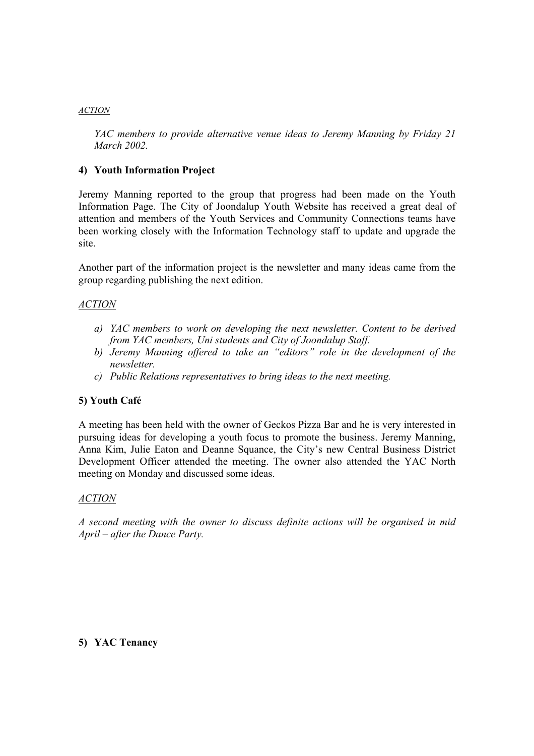#### *ACTION*

*YAC members to provide alternative venue ideas to Jeremy Manning by Friday 21 March 2002.* 

## **4) Youth Information Project**

Jeremy Manning reported to the group that progress had been made on the Youth Information Page. The City of Joondalup Youth Website has received a great deal of attention and members of the Youth Services and Community Connections teams have been working closely with the Information Technology staff to update and upgrade the site.

Another part of the information project is the newsletter and many ideas came from the group regarding publishing the next edition.

# *ACTION*

- *a) YAC members to work on developing the next newsletter. Content to be derived from YAC members, Uni students and City of Joondalup Staff.*
- *b) Jeremy Manning offered to take an "editors" role in the development of the newsletter.*
- *c) Public Relations representatives to bring ideas to the next meeting.*

## **5) Youth Café**

A meeting has been held with the owner of Geckos Pizza Bar and he is very interested in pursuing ideas for developing a youth focus to promote the business. Jeremy Manning, Anna Kim, Julie Eaton and Deanne Squance, the City's new Central Business District Development Officer attended the meeting. The owner also attended the YAC North meeting on Monday and discussed some ideas.

## *ACTION*

*A second meeting with the owner to discuss definite actions will be organised in mid April – after the Dance Party.* 

## **5) YAC Tenancy**